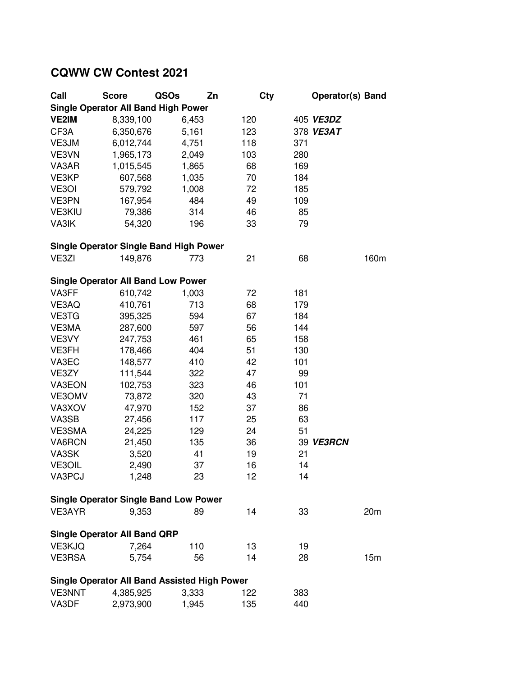## **CQWW CW Contest 2021**

| Call                                                | <b>Score</b> | QSOs  | Zn  | <b>Cty</b> | <b>Operator(s) Band</b> |  |  |  |  |  |  |
|-----------------------------------------------------|--------------|-------|-----|------------|-------------------------|--|--|--|--|--|--|
| <b>Single Operator All Band High Power</b>          |              |       |     |            |                         |  |  |  |  |  |  |
| <b>VE2IM</b>                                        | 8,339,100    | 6,453 | 120 |            | 405 VE3DZ               |  |  |  |  |  |  |
| CF3A                                                | 6,350,676    | 5,161 | 123 |            | 378 VE3AT               |  |  |  |  |  |  |
| VE3JM                                               | 6,012,744    | 4,751 | 118 | 371        |                         |  |  |  |  |  |  |
| VE3VN                                               | 1,965,173    | 2,049 | 103 | 280        |                         |  |  |  |  |  |  |
| VA3AR                                               | 1,015,545    | 1,865 | 68  | 169        |                         |  |  |  |  |  |  |
| VE3KP                                               | 607,568      | 1,035 | 70  | 184        |                         |  |  |  |  |  |  |
| VE3OI                                               | 579,792      | 1,008 | 72  | 185        |                         |  |  |  |  |  |  |
| VE3PN                                               | 167,954      | 484   | 49  | 109        |                         |  |  |  |  |  |  |
| <b>VE3KIU</b>                                       | 79,386       | 314   | 46  | 85         |                         |  |  |  |  |  |  |
| VA3IK                                               | 54,320       | 196   | 33  | 79         |                         |  |  |  |  |  |  |
| <b>Single Operator Single Band High Power</b>       |              |       |     |            |                         |  |  |  |  |  |  |
| VE3ZI                                               | 149,876      | 773   | 21  | 68         | 160m                    |  |  |  |  |  |  |
|                                                     |              |       |     |            |                         |  |  |  |  |  |  |
| <b>Single Operator All Band Low Power</b>           |              |       |     |            |                         |  |  |  |  |  |  |
| VA3FF                                               | 610,742      | 1,003 | 72  | 181        |                         |  |  |  |  |  |  |
| VE3AQ                                               | 410,761      | 713   | 68  | 179        |                         |  |  |  |  |  |  |
| VE3TG                                               | 395,325      | 594   | 67  | 184        |                         |  |  |  |  |  |  |
| VE3MA                                               | 287,600      | 597   | 56  | 144        |                         |  |  |  |  |  |  |
| VE3VY                                               | 247,753      | 461   | 65  | 158        |                         |  |  |  |  |  |  |
| VE3FH                                               | 178,466      | 404   | 51  | 130        |                         |  |  |  |  |  |  |
| VA3EC                                               | 148,577      | 410   | 42  | 101        |                         |  |  |  |  |  |  |
| VE3ZY                                               | 111,544      | 322   | 47  | 99         |                         |  |  |  |  |  |  |
| VA3EON                                              | 102,753      | 323   | 46  | 101        |                         |  |  |  |  |  |  |
| VE3OMV                                              | 73,872       | 320   | 43  | 71         |                         |  |  |  |  |  |  |
| VA3XOV                                              | 47,970       | 152   | 37  | 86         |                         |  |  |  |  |  |  |
| VA3SB                                               | 27,456       | 117   | 25  | 63         |                         |  |  |  |  |  |  |
| VE3SMA                                              | 24,225       | 129   | 24  | 51         |                         |  |  |  |  |  |  |
| VA6RCN                                              | 21,450       | 135   | 36  |            | 39 VE3RCN               |  |  |  |  |  |  |
| VA3SK                                               | 3,520        | 41    | 19  | 21         |                         |  |  |  |  |  |  |
| <b>VE3OIL</b>                                       | 2,490        | 37    | 16  | 14         |                         |  |  |  |  |  |  |
| <b>VA3PCJ</b>                                       | 1,248        | 23    | 12  | 14         |                         |  |  |  |  |  |  |
| <b>Single Operator Single Band Low Power</b>        |              |       |     |            |                         |  |  |  |  |  |  |
| VE3AYR                                              | 9,353        | 89    | 14  | 33         | 20 <sub>m</sub>         |  |  |  |  |  |  |
| <b>Single Operator All Band QRP</b>                 |              |       |     |            |                         |  |  |  |  |  |  |
| VE3KJQ                                              | 7,264        | 110   | 13  | 19         |                         |  |  |  |  |  |  |
| <b>VE3RSA</b>                                       | 5,754        | 56    | 14  | 28         | 15m                     |  |  |  |  |  |  |
| <b>Single Operator All Band Assisted High Power</b> |              |       |     |            |                         |  |  |  |  |  |  |
| <b>VE3NNT</b>                                       | 4,385,925    | 3,333 | 122 | 383        |                         |  |  |  |  |  |  |
| VA3DF                                               | 2,973,900    | 1,945 | 135 | 440        |                         |  |  |  |  |  |  |
|                                                     |              |       |     |            |                         |  |  |  |  |  |  |